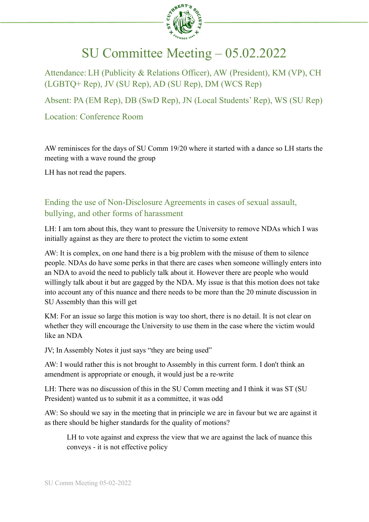

## SU Committee Meeting – 05.02.2022

Attendance: LH (Publicity & Relations Officer), AW (President), KM (VP), CH (LGBTQ+ Rep), JV (SU Rep), AD (SU Rep), DM (WCS Rep)

Absent: PA (EM Rep), DB (SwD Rep), JN (Local Students' Rep), WS (SU Rep)

Location: Conference Room

AW reminisces for the days of SU Comm 19/20 where it started with a dance so LH starts the meeting with a wave round the group

LH has not read the papers.

## Ending the use of Non-Disclosure Agreements in cases of sexual assault, bullying, and other forms of harassment

LH: I am torn about this, they want to pressure the University to remove NDAs which I was initially against as they are there to protect the victim to some extent

AW: It is complex, on one hand there is a big problem with the misuse of them to silence people. NDAs do have some perks in that there are cases when someone willingly enters into an NDA to avoid the need to publicly talk about it. However there are people who would willingly talk about it but are gagged by the NDA. My issue is that this motion does not take into account any of this nuance and there needs to be more than the 20 minute discussion in SU Assembly than this will get

KM: For an issue so large this motion is way too short, there is no detail. It is not clear on whether they will encourage the University to use them in the case where the victim would like an NDA

JV; In Assembly Notes it just says "they are being used"

AW: I would rather this is not brought to Assembly in this current form. I don't think an amendment is appropriate or enough, it would just be a re-write

LH: There was no discussion of this in the SU Comm meeting and I think it was ST (SU President) wanted us to submit it as a committee, it was odd

AW: So should we say in the meeting that in principle we are in favour but we are against it as there should be higher standards for the quality of motions?

LH to vote against and express the view that we are against the lack of nuance this conveys - it is not effective policy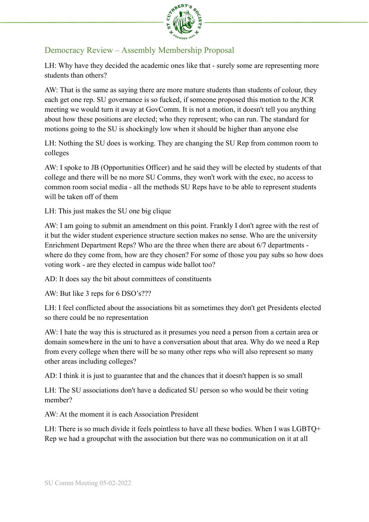

## Democracy Review – Assembly Membership Proposal

LH: Why have they decided the academic ones like that - surely some are representing more students than others?

AW: That is the same as saying there are more mature students than students of colour, they each get one rep. SU governance is so fucked, if someone proposed this motion to the JCR meeting we would turn it away at GovComm. It is not a motion, it doesn't tell you anything about how these positions are elected; who they represent; who can run. The standard for motions going to the SU is shockingly low when it should be higher than anyone else

LH: Nothing the SU does is working. They are changing the SU Rep from common room to colleges

AW: I spoke to JB (Opportunities Officer) and he said they will be elected by students of that college and there will be no more SU Comms, they won't work with the exec, no access to common room social media - all the methods SU Reps have to be able to represent students will be taken off of them

LH: This just makes the SU one big clique

AW: I am going to submit an amendment on this point. Frankly I don't agree with the rest of it but the wider student experience structure section makes no sense. Who are the university Enrichment Department Reps? Who are the three when there are about 6/7 departments where do they come from, how are they chosen? For some of those you pay subs so how does voting work - are they elected in campus wide ballot too?

AD: It does say the bit about committees of constituents

AW: But like 3 reps for 6 DSO's???

LH: I feel conflicted about the associations bit as sometimes they don't get Presidents elected so there could be no representation

AW: I hate the way this is structured as it presumes you need a person from a certain area or domain somewhere in the uni to have a conversation about that area. Why do we need a Rep from every college when there will be so many other reps who will also represent so many other areas including colleges?

AD: I think it is just to guarantee that and the chances that it doesn't happen is so small

LH: The SU associations don't have a dedicated SU person so who would be their voting member?

AW: At the moment it is each Association President

LH: There is so much divide it feels pointless to have all these bodies. When I was LGBTQ+ Rep we had a groupchat with the association but there was no communication on it at all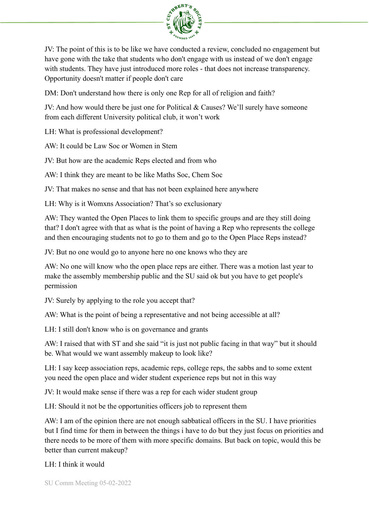

JV: The point of this is to be like we have conducted a review, concluded no engagement but have gone with the take that students who don't engage with us instead of we don't engage with students. They have just introduced more roles - that does not increase transparency. Opportunity doesn't matter if people don't care

DM: Don't understand how there is only one Rep for all of religion and faith?

JV: And how would there be just one for Political & Causes? We'll surely have someone from each different University political club, it won't work

LH: What is professional development?

AW: It could be Law Soc or Women in Stem

JV: But how are the academic Reps elected and from who

AW: I think they are meant to be like Maths Soc, Chem Soc

JV: That makes no sense and that has not been explained here anywhere

LH: Why is it Womxns Association? That's so exclusionary

AW: They wanted the Open Places to link them to specific groups and are they still doing that? I don't agree with that as what is the point of having a Rep who represents the college and then encouraging students not to go to them and go to the Open Place Reps instead?

JV: But no one would go to anyone here no one knows who they are

AW: No one will know who the open place reps are either. There was a motion last year to make the assembly membership public and the SU said ok but you have to get people's permission

JV: Surely by applying to the role you accept that?

AW: What is the point of being a representative and not being accessible at all?

LH: I still don't know who is on governance and grants

AW: I raised that with ST and she said "it is just not public facing in that way" but it should be. What would we want assembly makeup to look like?

LH: I say keep association reps, academic reps, college reps, the sabbs and to some extent you need the open place and wider student experience reps but not in this way

JV: It would make sense if there was a rep for each wider student group

LH: Should it not be the opportunities officers job to represent them

AW: I am of the opinion there are not enough sabbatical officers in the SU. I have priorities but I find time for them in between the things i have to do but they just focus on priorities and there needs to be more of them with more specific domains. But back on topic, would this be better than current makeup?

LH: I think it would